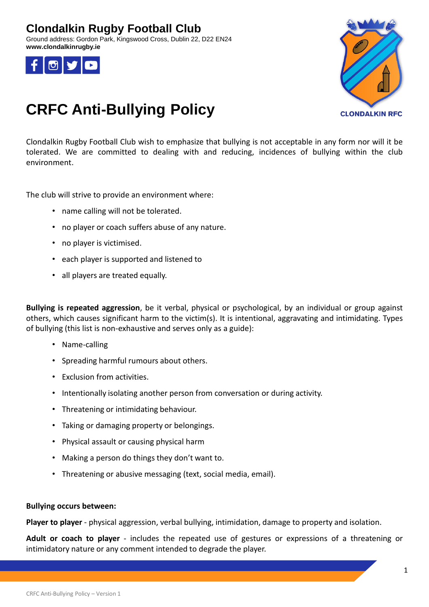### **Clondalkin Rugby Football Club**

Ground address: Gordon Park, Kingswood Cross, Dublin 22, D22 EN24 **www.clondalkinrugby.ie**





# **CRFC Anti-Bullying Policy**

Clondalkin Rugby Football Club wish to emphasize that bullying is not acceptable in any form nor will it be tolerated. We are committed to dealing with and reducing, incidences of bullying within the club environment.

The club will strive to provide an environment where:

- name calling will not be tolerated.
- no player or coach suffers abuse of any nature.
- no player is victimised.
- each player is supported and listened to
- all players are treated equally.

**Bullying is repeated aggression**, be it verbal, physical or psychological, by an individual or group against others, which causes significant harm to the victim(s). It is intentional, aggravating and intimidating. Types of bullying (this list is non-exhaustive and serves only as a guide):

- Name-calling
- Spreading harmful rumours about others.
- Exclusion from activities.
- Intentionally isolating another person from conversation or during activity.
- Threatening or intimidating behaviour.
- Taking or damaging property or belongings.
- Physical assault or causing physical harm
- Making a person do things they don't want to.
- Threatening or abusive messaging (text, social media, email).

### **Bullying occurs between:**

**Player to player** - physical aggression, verbal bullying, intimidation, damage to property and isolation.

**Adult or coach to player** - includes the repeated use of gestures or expressions of a threatening or intimidatory nature or any comment intended to degrade the player.